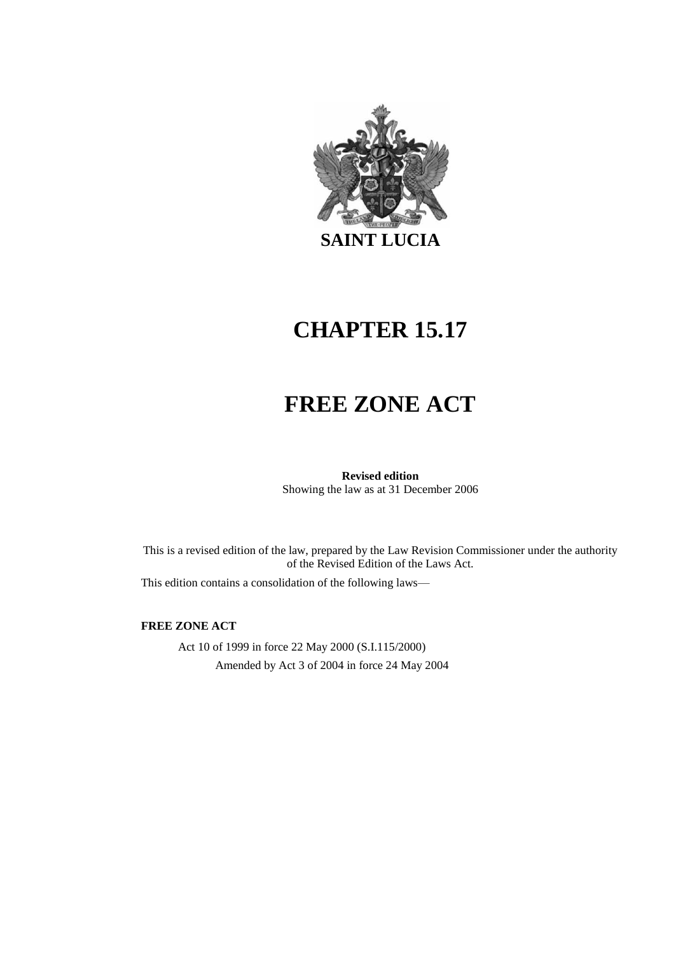

# **CHAPTER 15.17**

# **FREE ZONE ACT**

**Revised edition** Showing the law as at 31 December 2006

This is a revised edition of the law, prepared by the Law Revision Commissioner under the authority of the Revised Edition of the Laws Act.

This edition contains a consolidation of the following laws—

**FREE ZONE ACT**

Act 10 of 1999 in force 22 May 2000 (S.I.115/2000) Amended by Act 3 of 2004 in force 24 May 2004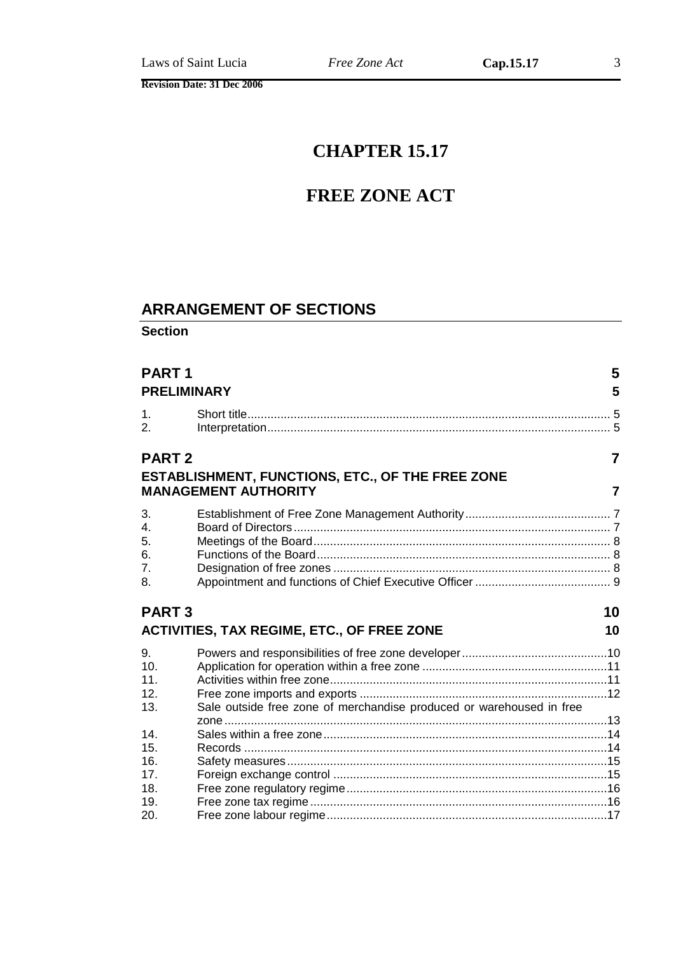## **CHAPTER 15.17**

## **FREE ZONE ACT**

### **ARRANGEMENT OF SECTIONS**

**Section**

| <b>PART1</b><br><b>PRELIMINARY</b>           |                                                                                 | 5<br>5   |
|----------------------------------------------|---------------------------------------------------------------------------------|----------|
| $\mathbf{1}$ .<br>2.                         |                                                                                 |          |
| <b>PART 2</b>                                |                                                                                 | 7        |
|                                              | ESTABLISHMENT, FUNCTIONS, ETC., OF THE FREE ZONE<br><b>MANAGEMENT AUTHORITY</b> | 7        |
| 3.<br>$\mathbf{4}$ .<br>5.<br>6.<br>7.<br>8. |                                                                                 |          |
|                                              |                                                                                 |          |
| <b>PART3</b>                                 | <b>ACTIVITIES, TAX REGIME, ETC., OF FREE ZONE</b>                               | 10<br>10 |
| 9.<br>10.<br>11.<br>12.<br>13.               |                                                                                 |          |
| 14.<br>15.<br>16.                            | Sale outside free zone of merchandise produced or warehoused in free            |          |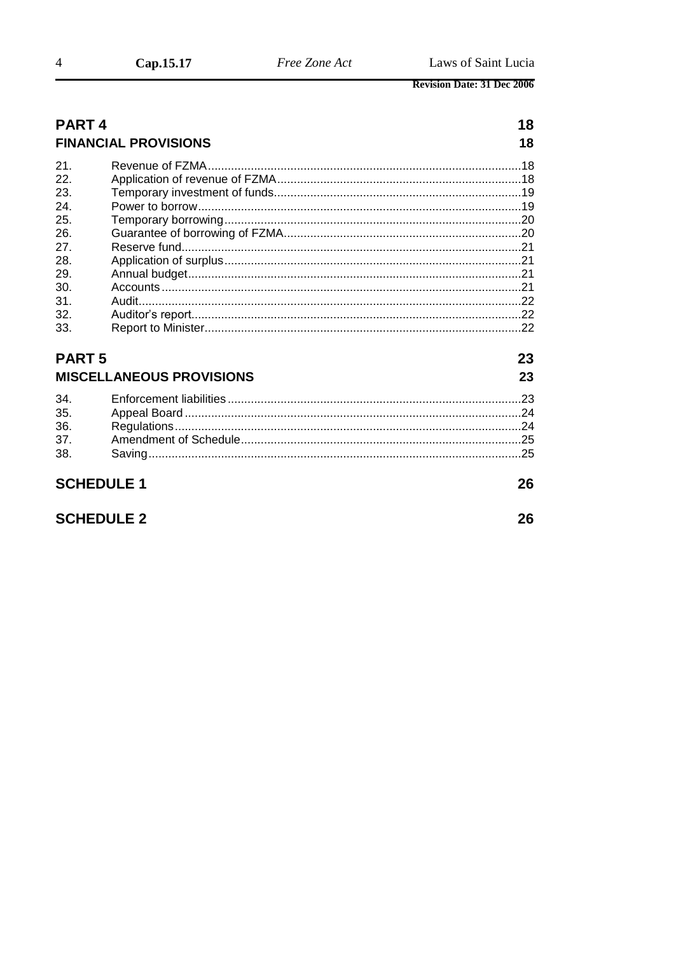#### PART<sub>4</sub> 18 **FINANCIAL PROVISIONS** 18  $21.$ 22. 23. 24. 25 26. 27. 28. 29. 30  $31.$ 32. 33. PART<sub>5</sub> 23 **MISCELLANEOUS PROVISIONS** 23  $34$ 35. 36. 37. 38. **SCHEDULE 1** 26 **SCHEDULE 2** 26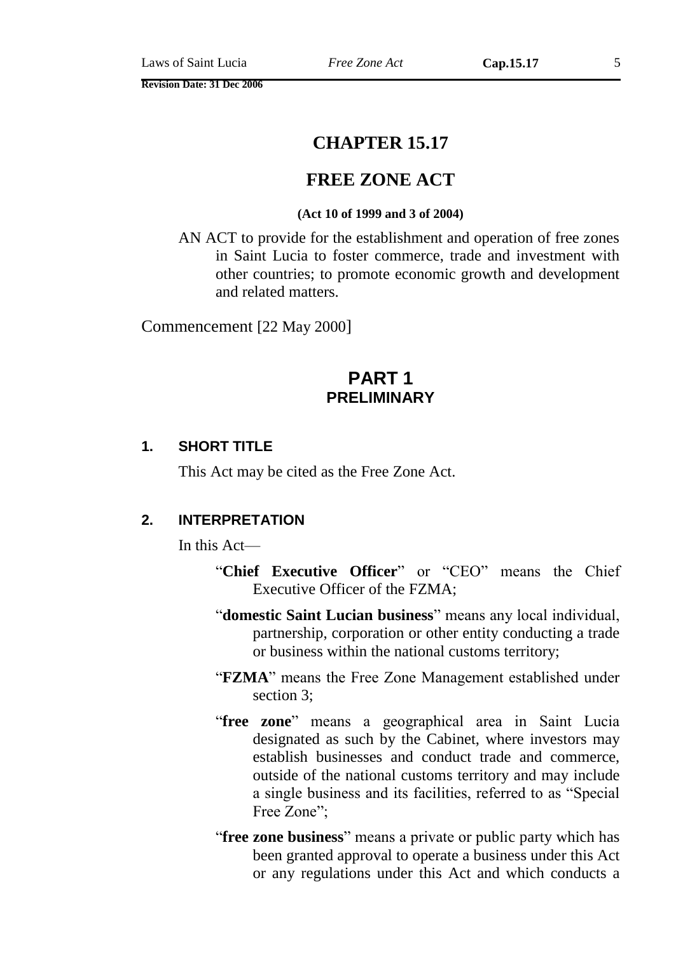## **CHAPTER 15.17**

### **FREE ZONE ACT**

#### **(Act 10 of 1999 and 3 of 2004)**

AN ACT to provide for the establishment and operation of free zones in Saint Lucia to foster commerce, trade and investment with other countries; to promote economic growth and development and related matters.

Commencement [22 May 2000]

### **PART 1 PRELIMINARY**

#### **1. SHORT TITLE**

This Act may be cited as the Free Zone Act.

#### **2. INTERPRETATION**

In this Act—

- "**Chief Executive Officer**" or "CEO" means the Chief Executive Officer of the FZMA;
- "**domestic Saint Lucian business**" means any local individual, partnership, corporation or other entity conducting a trade or business within the national customs territory;
- "**FZMA**" means the Free Zone Management established under section 3;
- "free zone" means a geographical area in Saint Lucia designated as such by the Cabinet, where investors may establish businesses and conduct trade and commerce, outside of the national customs territory and may include a single business and its facilities, referred to as "Special Free Zone";
- "**free zone business**" means a private or public party which has been granted approval to operate a business under this Act or any regulations under this Act and which conducts a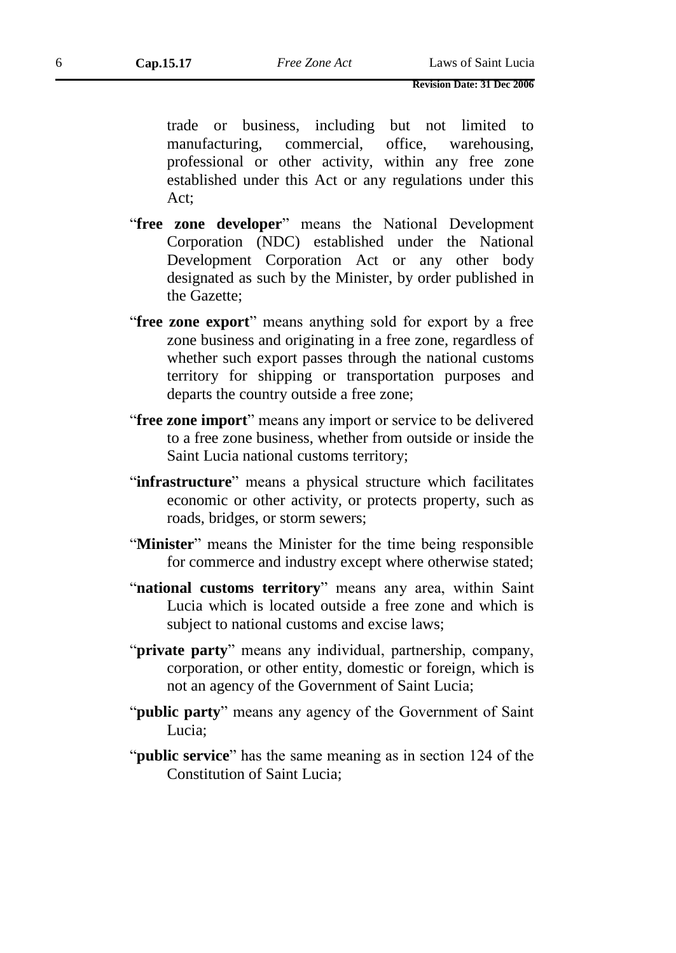trade or business, including but not limited to manufacturing, commercial, office, warehousing, professional or other activity, within any free zone established under this Act or any regulations under this Act;

- "**free zone developer**" means the National Development Corporation (NDC) established under the National Development Corporation Act or any other body designated as such by the Minister, by order published in the Gazette;
- "**free zone export**" means anything sold for export by a free zone business and originating in a free zone, regardless of whether such export passes through the national customs territory for shipping or transportation purposes and departs the country outside a free zone;
- "**free zone import**" means any import or service to be delivered to a free zone business, whether from outside or inside the Saint Lucia national customs territory;
- "**infrastructure**" means a physical structure which facilitates economic or other activity, or protects property, such as roads, bridges, or storm sewers;
- "**Minister**" means the Minister for the time being responsible for commerce and industry except where otherwise stated;
- "**national customs territory**" means any area, within Saint Lucia which is located outside a free zone and which is subject to national customs and excise laws;
- "**private party**" means any individual, partnership, company, corporation, or other entity, domestic or foreign, which is not an agency of the Government of Saint Lucia;
- "**public party**" means any agency of the Government of Saint Lucia;
- "**public service**" has the same meaning as in section 124 of the Constitution of Saint Lucia;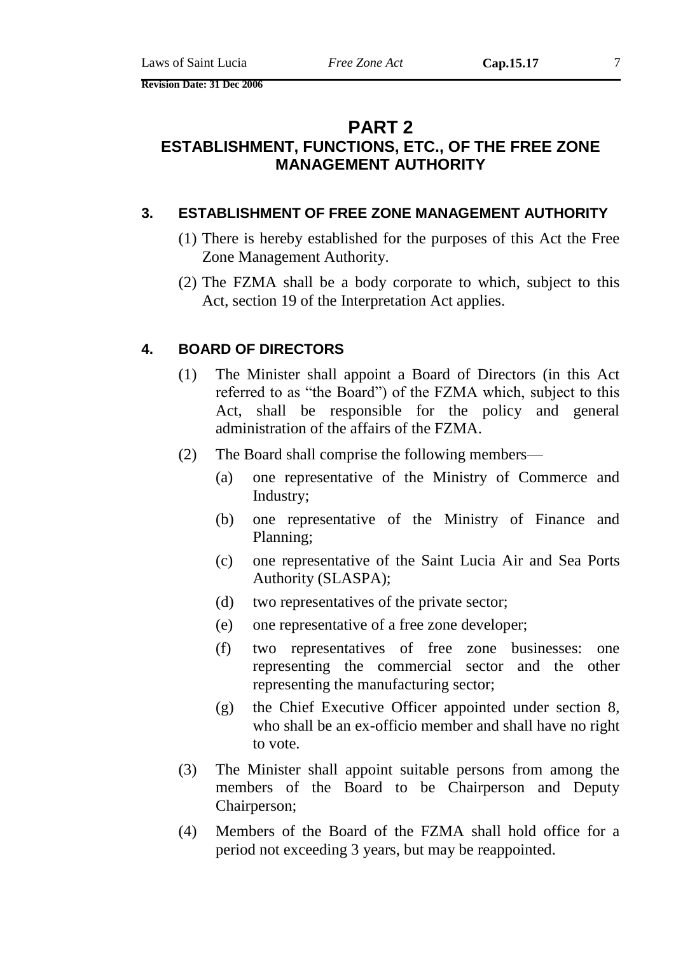### **PART 2 ESTABLISHMENT, FUNCTIONS, ETC., OF THE FREE ZONE MANAGEMENT AUTHORITY**

#### **3. ESTABLISHMENT OF FREE ZONE MANAGEMENT AUTHORITY**

- (1) There is hereby established for the purposes of this Act the Free Zone Management Authority.
- (2) The FZMA shall be a body corporate to which, subject to this Act, section 19 of the Interpretation Act applies.

#### **4. BOARD OF DIRECTORS**

- (1) The Minister shall appoint a Board of Directors (in this Act referred to as "the Board") of the FZMA which, subject to this Act, shall be responsible for the policy and general administration of the affairs of the FZMA.
- (2) The Board shall comprise the following members—
	- (a) one representative of the Ministry of Commerce and Industry;
	- (b) one representative of the Ministry of Finance and Planning;
	- (c) one representative of the Saint Lucia Air and Sea Ports Authority (SLASPA);
	- (d) two representatives of the private sector;
	- (e) one representative of a free zone developer;
	- (f) two representatives of free zone businesses: one representing the commercial sector and the other representing the manufacturing sector;
	- (g) the Chief Executive Officer appointed under section 8, who shall be an ex-officio member and shall have no right to vote.
- (3) The Minister shall appoint suitable persons from among the members of the Board to be Chairperson and Deputy Chairperson;
- (4) Members of the Board of the FZMA shall hold office for a period not exceeding 3 years, but may be reappointed.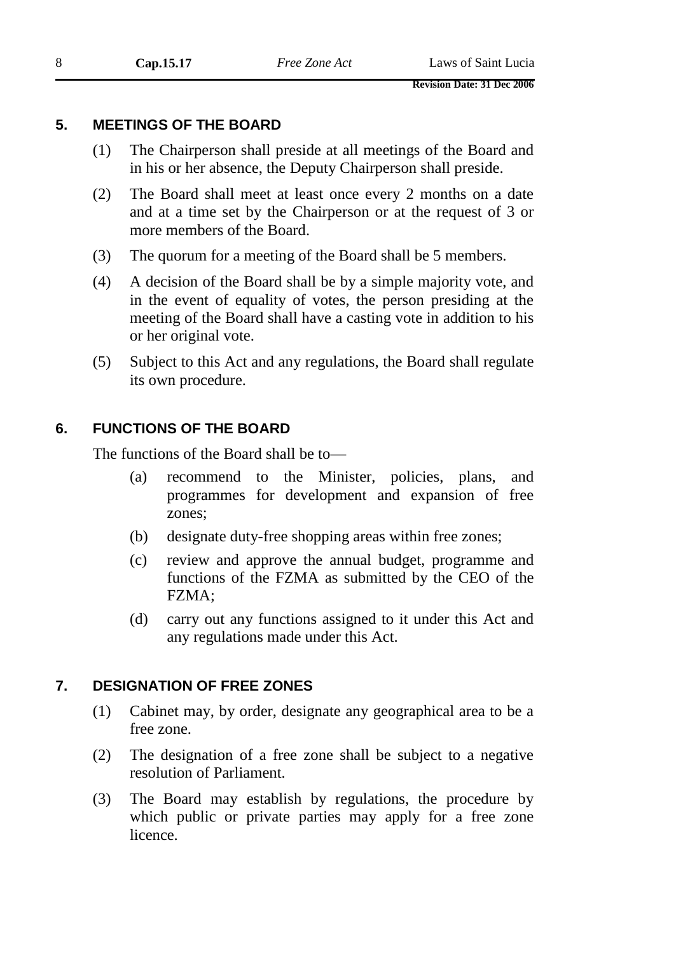#### **5. MEETINGS OF THE BOARD**

- (1) The Chairperson shall preside at all meetings of the Board and in his or her absence, the Deputy Chairperson shall preside.
- (2) The Board shall meet at least once every 2 months on a date and at a time set by the Chairperson or at the request of 3 or more members of the Board.
- (3) The quorum for a meeting of the Board shall be 5 members.
- (4) A decision of the Board shall be by a simple majority vote, and in the event of equality of votes, the person presiding at the meeting of the Board shall have a casting vote in addition to his or her original vote.
- (5) Subject to this Act and any regulations, the Board shall regulate its own procedure.

#### **6. FUNCTIONS OF THE BOARD**

The functions of the Board shall be to—

- (a) recommend to the Minister, policies, plans, and programmes for development and expansion of free zones;
- (b) designate duty-free shopping areas within free zones;
- (c) review and approve the annual budget, programme and functions of the FZMA as submitted by the CEO of the FZMA;
- (d) carry out any functions assigned to it under this Act and any regulations made under this Act.

#### **7. DESIGNATION OF FREE ZONES**

- (1) Cabinet may, by order, designate any geographical area to be a free zone.
- (2) The designation of a free zone shall be subject to a negative resolution of Parliament.
- (3) The Board may establish by regulations, the procedure by which public or private parties may apply for a free zone licence.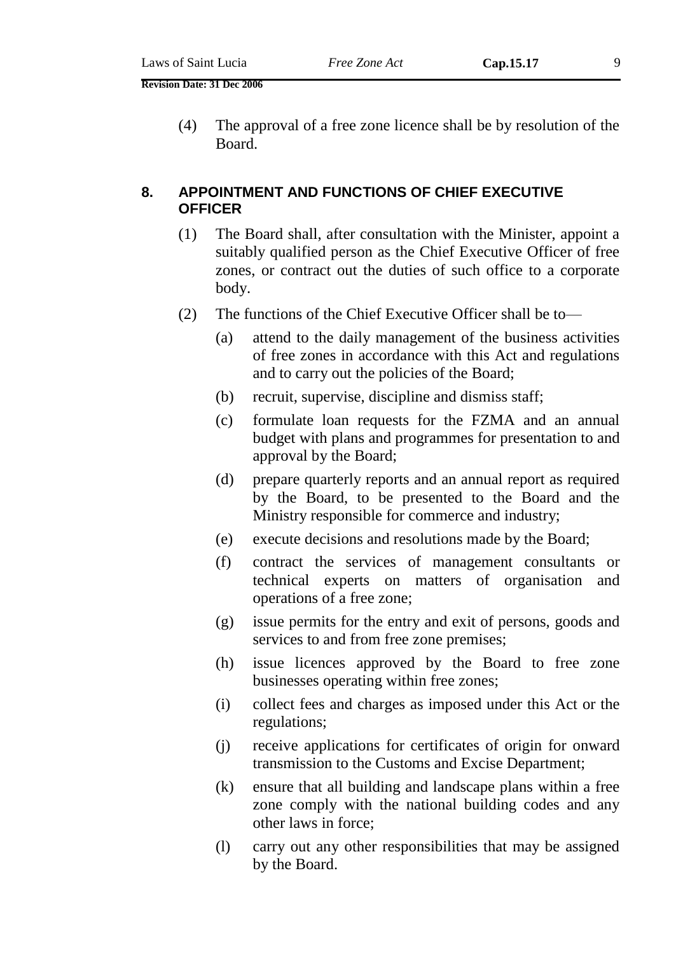(4) The approval of a free zone licence shall be by resolution of the Board.

#### **8. APPOINTMENT AND FUNCTIONS OF CHIEF EXECUTIVE OFFICER**

- (1) The Board shall, after consultation with the Minister, appoint a suitably qualified person as the Chief Executive Officer of free zones, or contract out the duties of such office to a corporate body.
- (2) The functions of the Chief Executive Officer shall be to—
	- (a) attend to the daily management of the business activities of free zones in accordance with this Act and regulations and to carry out the policies of the Board;
	- (b) recruit, supervise, discipline and dismiss staff;
	- (c) formulate loan requests for the FZMA and an annual budget with plans and programmes for presentation to and approval by the Board;
	- (d) prepare quarterly reports and an annual report as required by the Board, to be presented to the Board and the Ministry responsible for commerce and industry;
	- (e) execute decisions and resolutions made by the Board;
	- (f) contract the services of management consultants or technical experts on matters of organisation and operations of a free zone;
	- (g) issue permits for the entry and exit of persons, goods and services to and from free zone premises;
	- (h) issue licences approved by the Board to free zone businesses operating within free zones;
	- (i) collect fees and charges as imposed under this Act or the regulations;
	- (j) receive applications for certificates of origin for onward transmission to the Customs and Excise Department;
	- (k) ensure that all building and landscape plans within a free zone comply with the national building codes and any other laws in force;
	- (l) carry out any other responsibilities that may be assigned by the Board.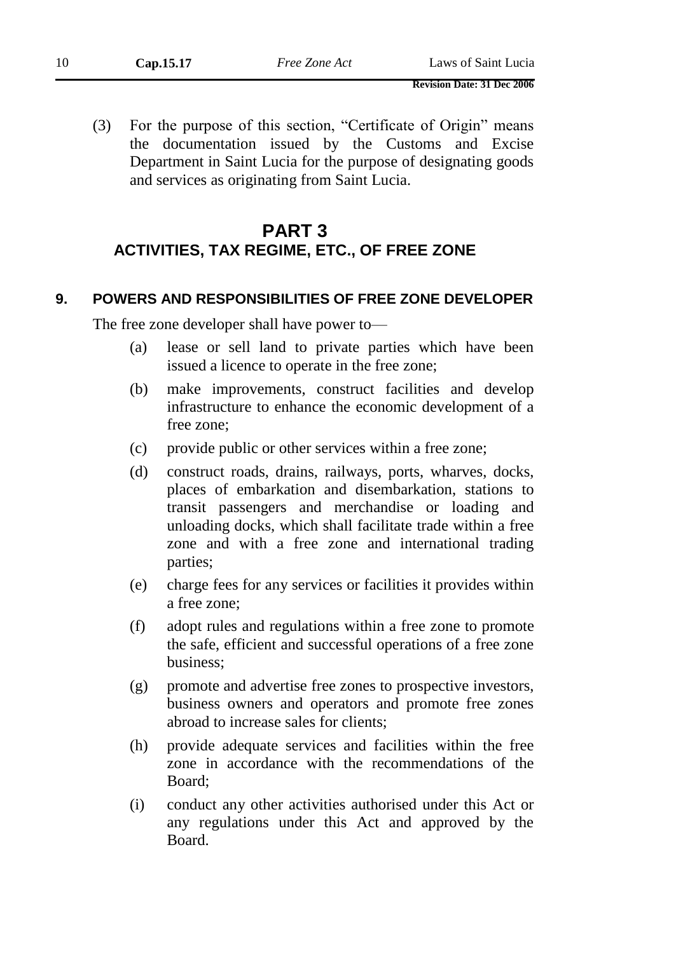(3) For the purpose of this section, "Certificate of Origin" means the documentation issued by the Customs and Excise Department in Saint Lucia for the purpose of designating goods and services as originating from Saint Lucia.

### **PART 3 ACTIVITIES, TAX REGIME, ETC., OF FREE ZONE**

#### **9. POWERS AND RESPONSIBILITIES OF FREE ZONE DEVELOPER**

The free zone developer shall have power to—

- (a) lease or sell land to private parties which have been issued a licence to operate in the free zone;
- (b) make improvements, construct facilities and develop infrastructure to enhance the economic development of a free zone;
- (c) provide public or other services within a free zone;
- (d) construct roads, drains, railways, ports, wharves, docks, places of embarkation and disembarkation, stations to transit passengers and merchandise or loading and unloading docks, which shall facilitate trade within a free zone and with a free zone and international trading parties;
- (e) charge fees for any services or facilities it provides within a free zone;
- (f) adopt rules and regulations within a free zone to promote the safe, efficient and successful operations of a free zone business;
- (g) promote and advertise free zones to prospective investors, business owners and operators and promote free zones abroad to increase sales for clients;
- (h) provide adequate services and facilities within the free zone in accordance with the recommendations of the Board;
- (i) conduct any other activities authorised under this Act or any regulations under this Act and approved by the Board.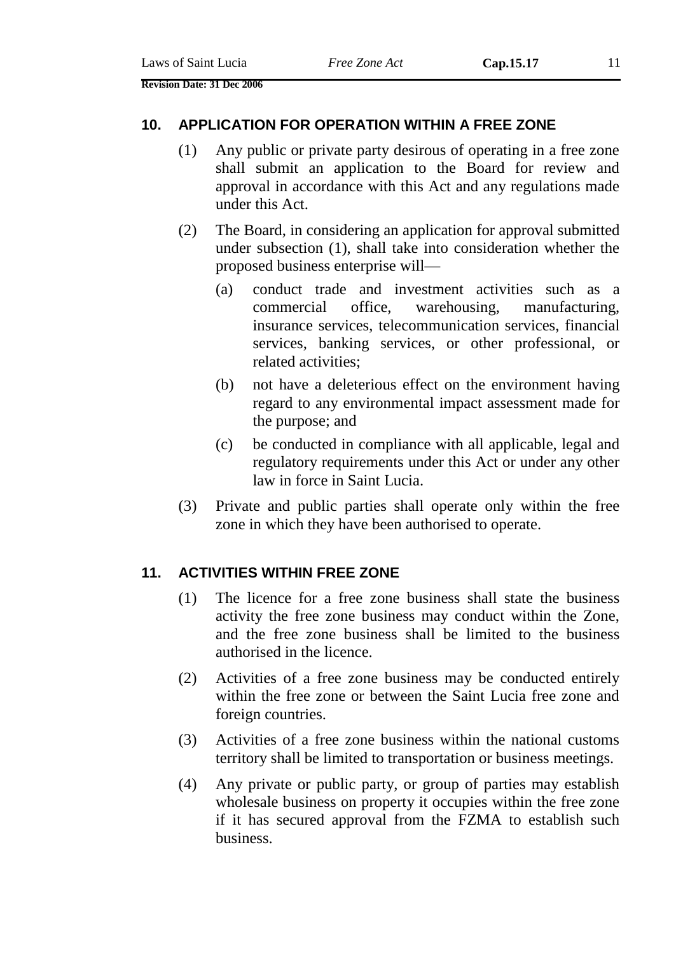#### **10. APPLICATION FOR OPERATION WITHIN A FREE ZONE**

- (1) Any public or private party desirous of operating in a free zone shall submit an application to the Board for review and approval in accordance with this Act and any regulations made under this Act.
- (2) The Board, in considering an application for approval submitted under subsection (1), shall take into consideration whether the proposed business enterprise will—
	- (a) conduct trade and investment activities such as a commercial office, warehousing, manufacturing, insurance services, telecommunication services, financial services, banking services, or other professional, or related activities;
	- (b) not have a deleterious effect on the environment having regard to any environmental impact assessment made for the purpose; and
	- (c) be conducted in compliance with all applicable, legal and regulatory requirements under this Act or under any other law in force in Saint Lucia.
- (3) Private and public parties shall operate only within the free zone in which they have been authorised to operate.

#### **11. ACTIVITIES WITHIN FREE ZONE**

- (1) The licence for a free zone business shall state the business activity the free zone business may conduct within the Zone, and the free zone business shall be limited to the business authorised in the licence.
- (2) Activities of a free zone business may be conducted entirely within the free zone or between the Saint Lucia free zone and foreign countries.
- (3) Activities of a free zone business within the national customs territory shall be limited to transportation or business meetings.
- (4) Any private or public party, or group of parties may establish wholesale business on property it occupies within the free zone if it has secured approval from the FZMA to establish such business.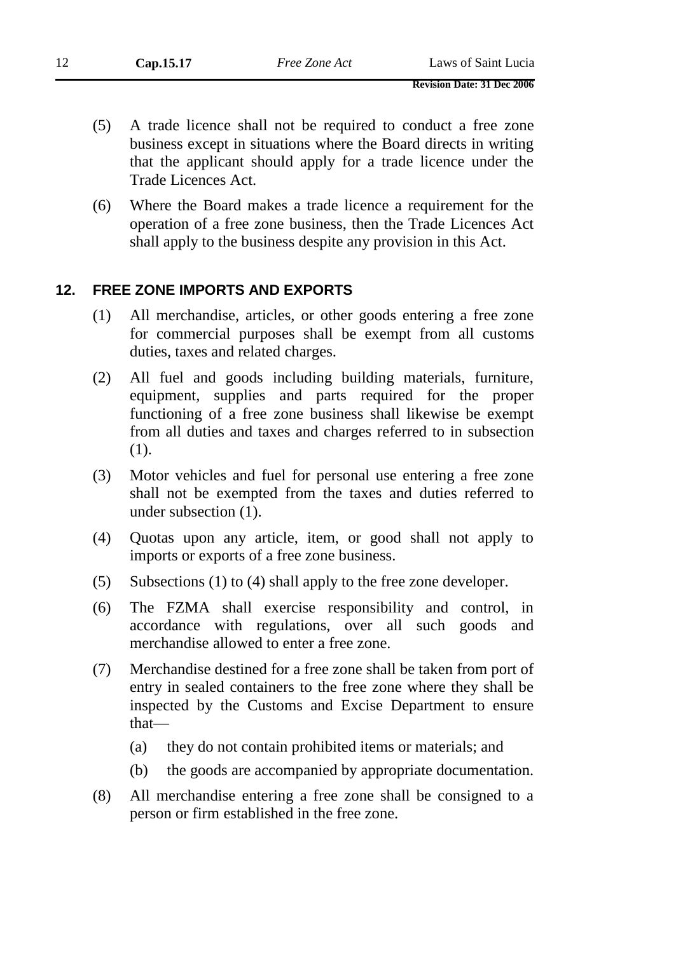- (5) A trade licence shall not be required to conduct a free zone business except in situations where the Board directs in writing that the applicant should apply for a trade licence under the Trade Licences Act.
- (6) Where the Board makes a trade licence a requirement for the operation of a free zone business, then the Trade Licences Act shall apply to the business despite any provision in this Act.

#### **12. FREE ZONE IMPORTS AND EXPORTS**

- (1) All merchandise, articles, or other goods entering a free zone for commercial purposes shall be exempt from all customs duties, taxes and related charges.
- (2) All fuel and goods including building materials, furniture, equipment, supplies and parts required for the proper functioning of a free zone business shall likewise be exempt from all duties and taxes and charges referred to in subsection (1).
- (3) Motor vehicles and fuel for personal use entering a free zone shall not be exempted from the taxes and duties referred to under subsection (1).
- (4) Quotas upon any article, item, or good shall not apply to imports or exports of a free zone business.
- (5) Subsections (1) to (4) shall apply to the free zone developer.
- (6) The FZMA shall exercise responsibility and control, in accordance with regulations, over all such goods and merchandise allowed to enter a free zone.
- (7) Merchandise destined for a free zone shall be taken from port of entry in sealed containers to the free zone where they shall be inspected by the Customs and Excise Department to ensure that—
	- (a) they do not contain prohibited items or materials; and
	- (b) the goods are accompanied by appropriate documentation.
- (8) All merchandise entering a free zone shall be consigned to a person or firm established in the free zone.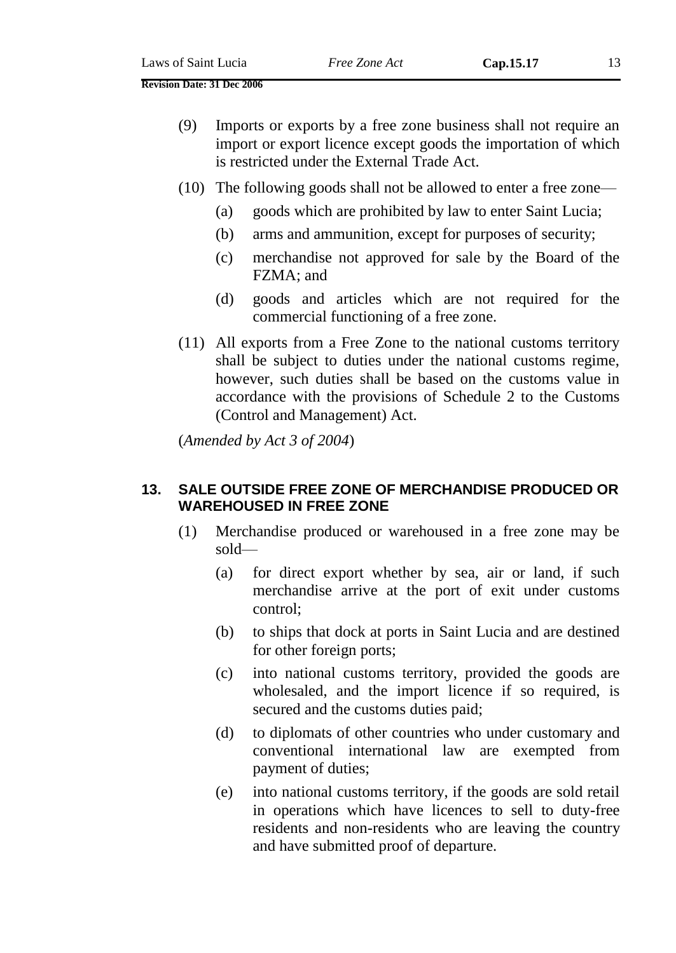- (10) The following goods shall not be allowed to enter a free zone—
	- (a) goods which are prohibited by law to enter Saint Lucia;
	- (b) arms and ammunition, except for purposes of security;
	- (c) merchandise not approved for sale by the Board of the FZMA; and
	- (d) goods and articles which are not required for the commercial functioning of a free zone.
- (11) All exports from a Free Zone to the national customs territory shall be subject to duties under the national customs regime, however, such duties shall be based on the customs value in accordance with the provisions of Schedule 2 to the Customs (Control and Management) Act.

(*Amended by Act 3 of 2004*)

#### **13. SALE OUTSIDE FREE ZONE OF MERCHANDISE PRODUCED OR WAREHOUSED IN FREE ZONE**

- (1) Merchandise produced or warehoused in a free zone may be sold—
	- (a) for direct export whether by sea, air or land, if such merchandise arrive at the port of exit under customs control;
	- (b) to ships that dock at ports in Saint Lucia and are destined for other foreign ports;
	- (c) into national customs territory, provided the goods are wholesaled, and the import licence if so required, is secured and the customs duties paid;
	- (d) to diplomats of other countries who under customary and conventional international law are exempted from payment of duties;
	- (e) into national customs territory, if the goods are sold retail in operations which have licences to sell to duty-free residents and non-residents who are leaving the country and have submitted proof of departure.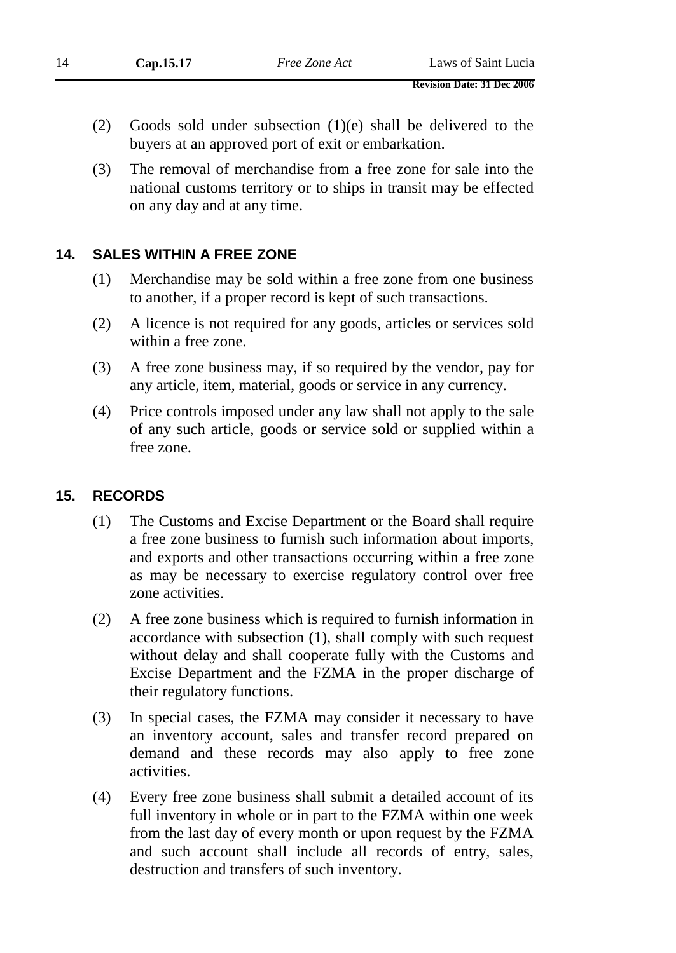- (2) Goods sold under subsection (1)(e) shall be delivered to the buyers at an approved port of exit or embarkation.
- (3) The removal of merchandise from a free zone for sale into the national customs territory or to ships in transit may be effected on any day and at any time.

#### **14. SALES WITHIN A FREE ZONE**

- (1) Merchandise may be sold within a free zone from one business to another, if a proper record is kept of such transactions.
- (2) A licence is not required for any goods, articles or services sold within a free zone.
- (3) A free zone business may, if so required by the vendor, pay for any article, item, material, goods or service in any currency.
- (4) Price controls imposed under any law shall not apply to the sale of any such article, goods or service sold or supplied within a free zone.

#### **15. RECORDS**

- (1) The Customs and Excise Department or the Board shall require a free zone business to furnish such information about imports, and exports and other transactions occurring within a free zone as may be necessary to exercise regulatory control over free zone activities.
- (2) A free zone business which is required to furnish information in accordance with subsection (1), shall comply with such request without delay and shall cooperate fully with the Customs and Excise Department and the FZMA in the proper discharge of their regulatory functions.
- (3) In special cases, the FZMA may consider it necessary to have an inventory account, sales and transfer record prepared on demand and these records may also apply to free zone activities.
- (4) Every free zone business shall submit a detailed account of its full inventory in whole or in part to the FZMA within one week from the last day of every month or upon request by the FZMA and such account shall include all records of entry, sales, destruction and transfers of such inventory.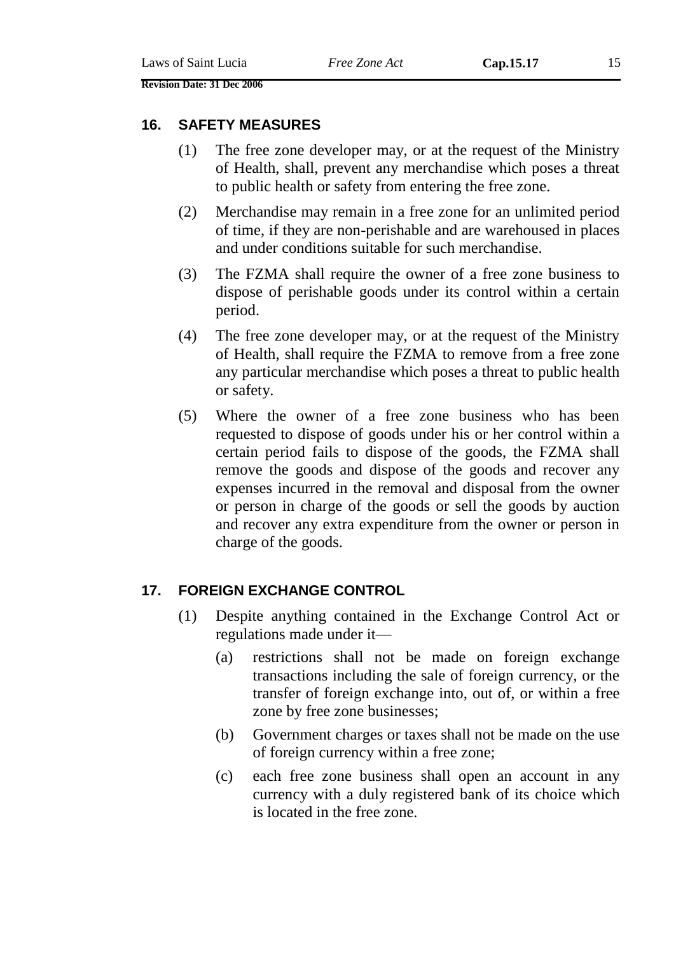#### **16. SAFETY MEASURES**

- (1) The free zone developer may, or at the request of the Ministry of Health, shall, prevent any merchandise which poses a threat to public health or safety from entering the free zone.
- (2) Merchandise may remain in a free zone for an unlimited period of time, if they are non-perishable and are warehoused in places and under conditions suitable for such merchandise.
- (3) The FZMA shall require the owner of a free zone business to dispose of perishable goods under its control within a certain period.
- (4) The free zone developer may, or at the request of the Ministry of Health, shall require the FZMA to remove from a free zone any particular merchandise which poses a threat to public health or safety.
- (5) Where the owner of a free zone business who has been requested to dispose of goods under his or her control within a certain period fails to dispose of the goods, the FZMA shall remove the goods and dispose of the goods and recover any expenses incurred in the removal and disposal from the owner or person in charge of the goods or sell the goods by auction and recover any extra expenditure from the owner or person in charge of the goods.

#### **17. FOREIGN EXCHANGE CONTROL**

- (1) Despite anything contained in the Exchange Control Act or regulations made under it—
	- (a) restrictions shall not be made on foreign exchange transactions including the sale of foreign currency, or the transfer of foreign exchange into, out of, or within a free zone by free zone businesses;
	- (b) Government charges or taxes shall not be made on the use of foreign currency within a free zone;
	- (c) each free zone business shall open an account in any currency with a duly registered bank of its choice which is located in the free zone.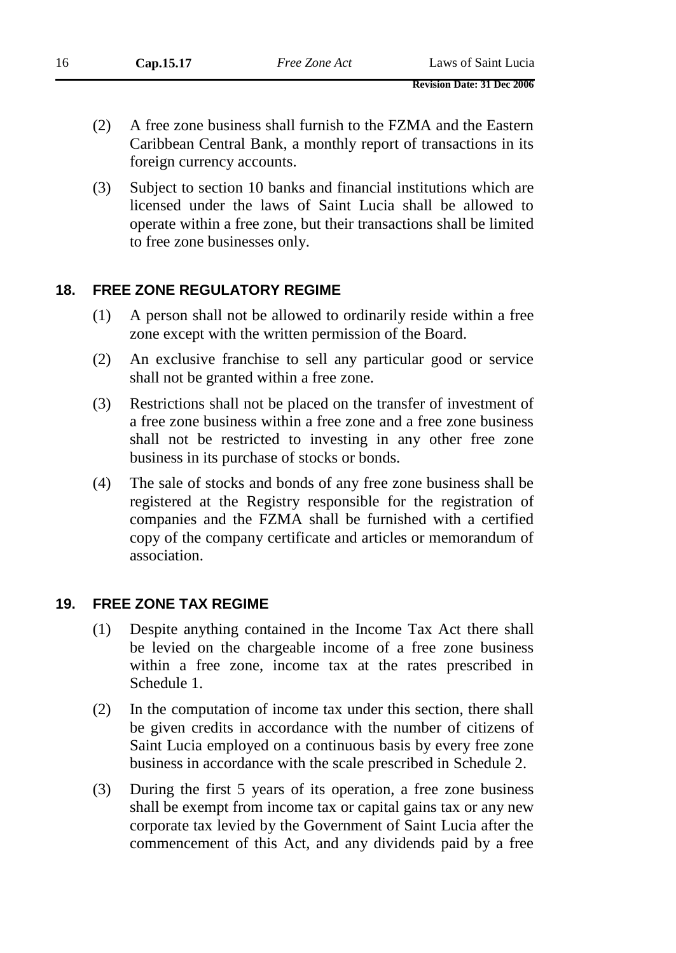- (2) A free zone business shall furnish to the FZMA and the Eastern Caribbean Central Bank, a monthly report of transactions in its foreign currency accounts.
- (3) Subject to section 10 banks and financial institutions which are licensed under the laws of Saint Lucia shall be allowed to operate within a free zone, but their transactions shall be limited to free zone businesses only.

### **18. FREE ZONE REGULATORY REGIME**

- (1) A person shall not be allowed to ordinarily reside within a free zone except with the written permission of the Board.
- (2) An exclusive franchise to sell any particular good or service shall not be granted within a free zone.
- (3) Restrictions shall not be placed on the transfer of investment of a free zone business within a free zone and a free zone business shall not be restricted to investing in any other free zone business in its purchase of stocks or bonds.
- (4) The sale of stocks and bonds of any free zone business shall be registered at the Registry responsible for the registration of companies and the FZMA shall be furnished with a certified copy of the company certificate and articles or memorandum of association.

#### **19. FREE ZONE TAX REGIME**

- (1) Despite anything contained in the Income Tax Act there shall be levied on the chargeable income of a free zone business within a free zone, income tax at the rates prescribed in Schedule 1.
- (2) In the computation of income tax under this section, there shall be given credits in accordance with the number of citizens of Saint Lucia employed on a continuous basis by every free zone business in accordance with the scale prescribed in Schedule 2.
- (3) During the first 5 years of its operation, a free zone business shall be exempt from income tax or capital gains tax or any new corporate tax levied by the Government of Saint Lucia after the commencement of this Act, and any dividends paid by a free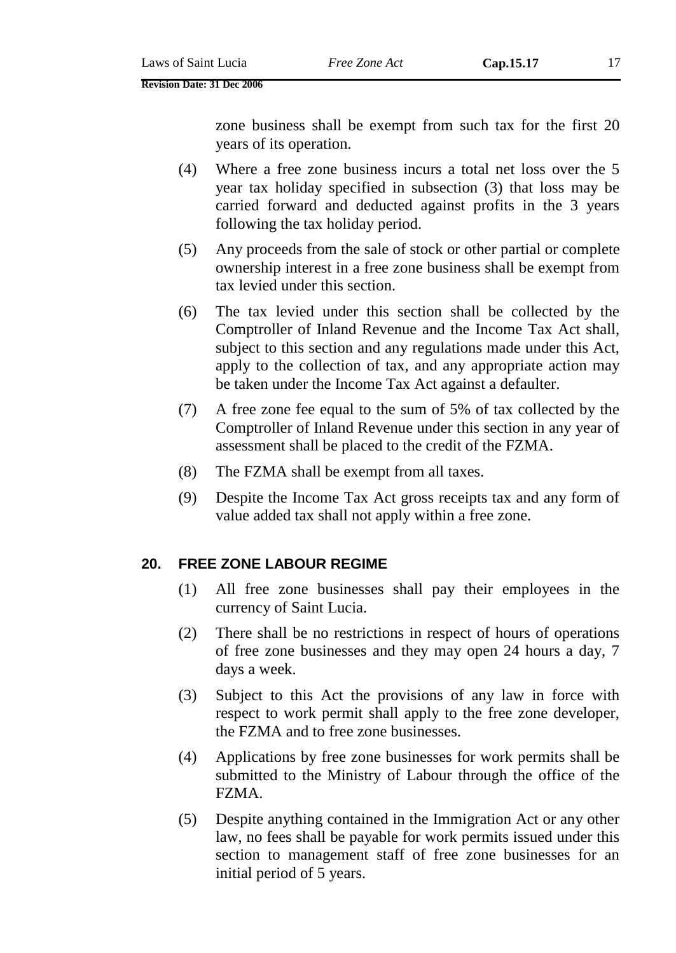zone business shall be exempt from such tax for the first 20 years of its operation.

- (4) Where a free zone business incurs a total net loss over the 5 year tax holiday specified in subsection (3) that loss may be carried forward and deducted against profits in the 3 years following the tax holiday period.
- (5) Any proceeds from the sale of stock or other partial or complete ownership interest in a free zone business shall be exempt from tax levied under this section.
- (6) The tax levied under this section shall be collected by the Comptroller of Inland Revenue and the Income Tax Act shall, subject to this section and any regulations made under this Act, apply to the collection of tax, and any appropriate action may be taken under the Income Tax Act against a defaulter.
- (7) A free zone fee equal to the sum of 5% of tax collected by the Comptroller of Inland Revenue under this section in any year of assessment shall be placed to the credit of the FZMA.
- (8) The FZMA shall be exempt from all taxes.
- (9) Despite the Income Tax Act gross receipts tax and any form of value added tax shall not apply within a free zone.

### **20. FREE ZONE LABOUR REGIME**

- (1) All free zone businesses shall pay their employees in the currency of Saint Lucia.
- (2) There shall be no restrictions in respect of hours of operations of free zone businesses and they may open 24 hours a day, 7 days a week.
- (3) Subject to this Act the provisions of any law in force with respect to work permit shall apply to the free zone developer, the FZMA and to free zone businesses.
- (4) Applications by free zone businesses for work permits shall be submitted to the Ministry of Labour through the office of the FZMA.
- (5) Despite anything contained in the Immigration Act or any other law, no fees shall be payable for work permits issued under this section to management staff of free zone businesses for an initial period of 5 years.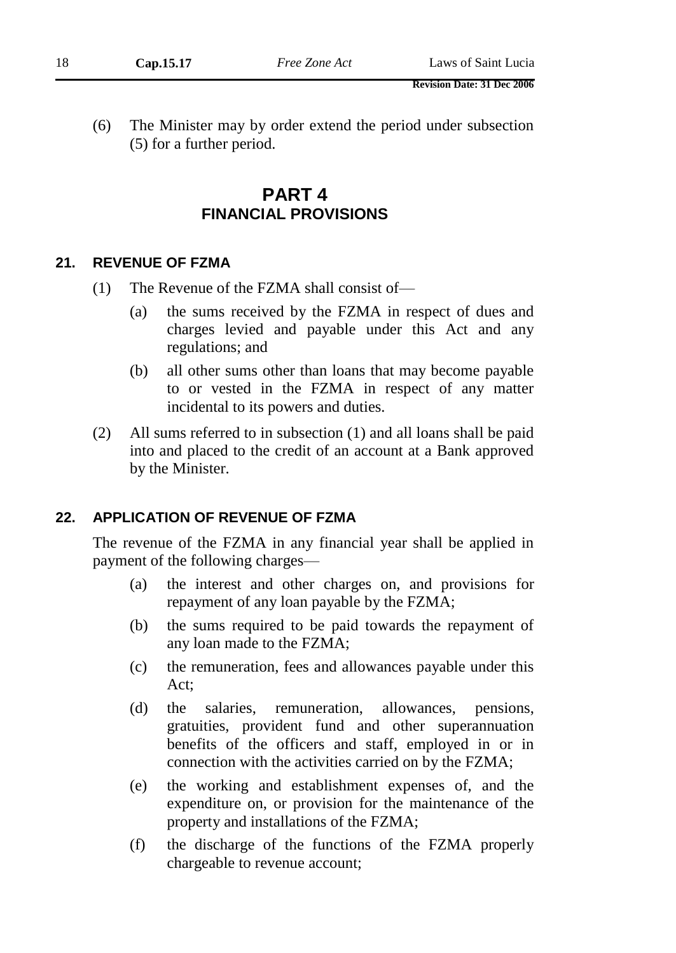(6) The Minister may by order extend the period under subsection (5) for a further period.

### **PART 4 FINANCIAL PROVISIONS**

#### **21. REVENUE OF FZMA**

- (1) The Revenue of the FZMA shall consist of—
	- (a) the sums received by the FZMA in respect of dues and charges levied and payable under this Act and any regulations; and
	- (b) all other sums other than loans that may become payable to or vested in the FZMA in respect of any matter incidental to its powers and duties.
- (2) All sums referred to in subsection (1) and all loans shall be paid into and placed to the credit of an account at a Bank approved by the Minister.

#### **22. APPLICATION OF REVENUE OF FZMA**

The revenue of the FZMA in any financial year shall be applied in payment of the following charges—

- (a) the interest and other charges on, and provisions for repayment of any loan payable by the FZMA;
- (b) the sums required to be paid towards the repayment of any loan made to the FZMA;
- (c) the remuneration, fees and allowances payable under this Act;
- (d) the salaries, remuneration, allowances, pensions, gratuities, provident fund and other superannuation benefits of the officers and staff, employed in or in connection with the activities carried on by the FZMA;
- (e) the working and establishment expenses of, and the expenditure on, or provision for the maintenance of the property and installations of the FZMA;
- (f) the discharge of the functions of the FZMA properly chargeable to revenue account;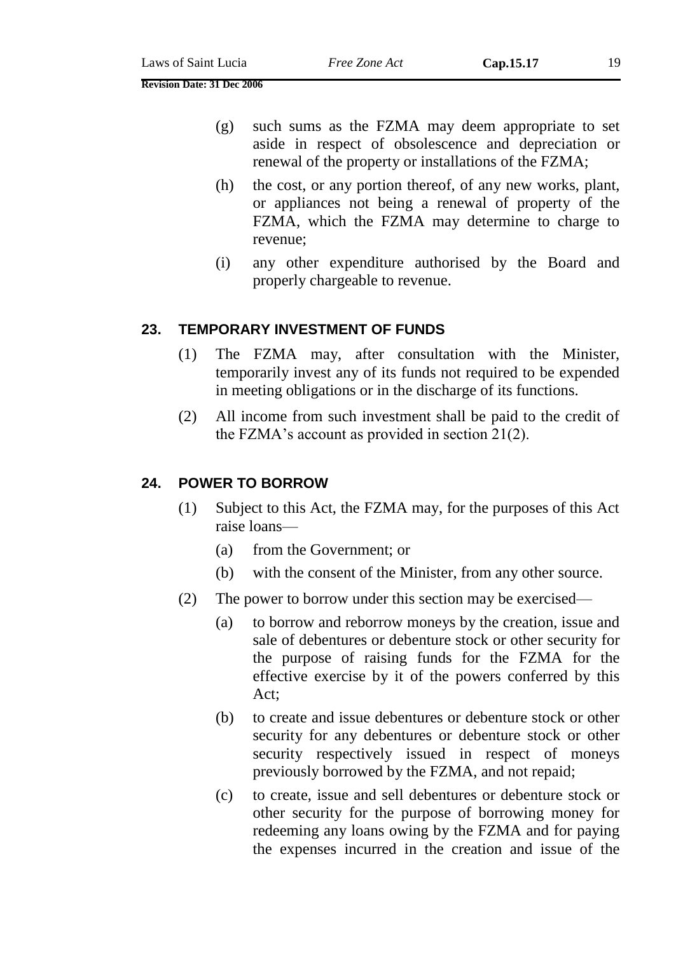- (h) the cost, or any portion thereof, of any new works, plant, or appliances not being a renewal of property of the FZMA, which the FZMA may determine to charge to revenue;
- (i) any other expenditure authorised by the Board and properly chargeable to revenue.

#### **23. TEMPORARY INVESTMENT OF FUNDS**

- (1) The FZMA may, after consultation with the Minister, temporarily invest any of its funds not required to be expended in meeting obligations or in the discharge of its functions.
- (2) All income from such investment shall be paid to the credit of the FZMA's account as provided in section 21(2).

#### **24. POWER TO BORROW**

- (1) Subject to this Act, the FZMA may, for the purposes of this Act raise loans—
	- (a) from the Government; or
	- (b) with the consent of the Minister, from any other source.
- (2) The power to borrow under this section may be exercised—
	- (a) to borrow and reborrow moneys by the creation, issue and sale of debentures or debenture stock or other security for the purpose of raising funds for the FZMA for the effective exercise by it of the powers conferred by this Act;
	- (b) to create and issue debentures or debenture stock or other security for any debentures or debenture stock or other security respectively issued in respect of moneys previously borrowed by the FZMA, and not repaid;
	- (c) to create, issue and sell debentures or debenture stock or other security for the purpose of borrowing money for redeeming any loans owing by the FZMA and for paying the expenses incurred in the creation and issue of the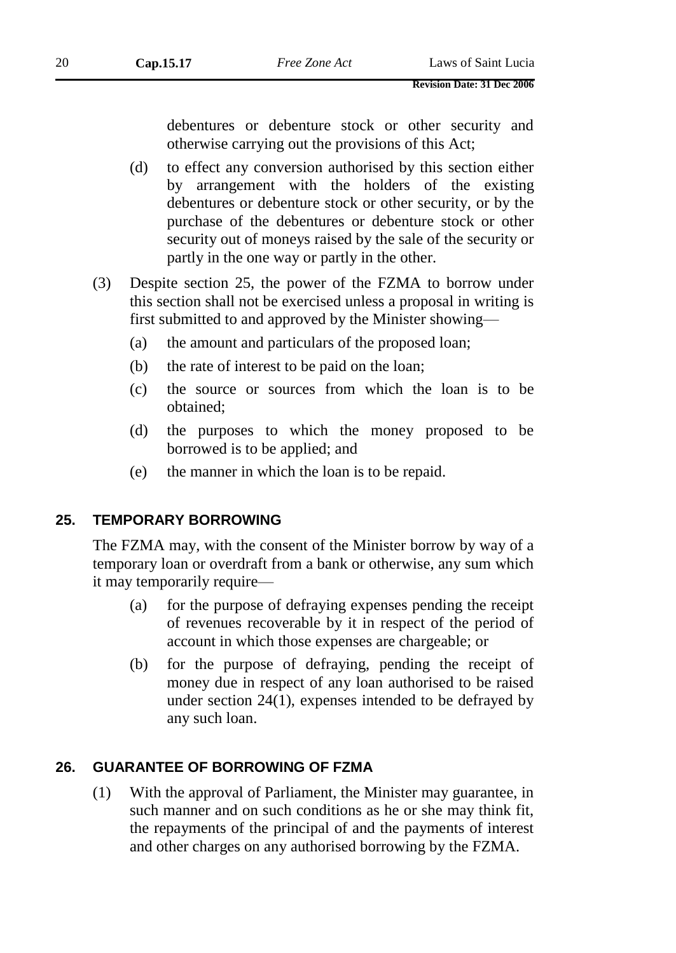debentures or debenture stock or other security and otherwise carrying out the provisions of this Act;

- (d) to effect any conversion authorised by this section either by arrangement with the holders of the existing debentures or debenture stock or other security, or by the purchase of the debentures or debenture stock or other security out of moneys raised by the sale of the security or partly in the one way or partly in the other.
- (3) Despite section 25, the power of the FZMA to borrow under this section shall not be exercised unless a proposal in writing is first submitted to and approved by the Minister showing—
	- (a) the amount and particulars of the proposed loan;
	- (b) the rate of interest to be paid on the loan;
	- (c) the source or sources from which the loan is to be obtained;
	- (d) the purposes to which the money proposed to be borrowed is to be applied; and
	- (e) the manner in which the loan is to be repaid.

### **25. TEMPORARY BORROWING**

The FZMA may, with the consent of the Minister borrow by way of a temporary loan or overdraft from a bank or otherwise, any sum which it may temporarily require—

- (a) for the purpose of defraying expenses pending the receipt of revenues recoverable by it in respect of the period of account in which those expenses are chargeable; or
- (b) for the purpose of defraying, pending the receipt of money due in respect of any loan authorised to be raised under section 24(1), expenses intended to be defrayed by any such loan.

### **26. GUARANTEE OF BORROWING OF FZMA**

(1) With the approval of Parliament, the Minister may guarantee, in such manner and on such conditions as he or she may think fit, the repayments of the principal of and the payments of interest and other charges on any authorised borrowing by the FZMA.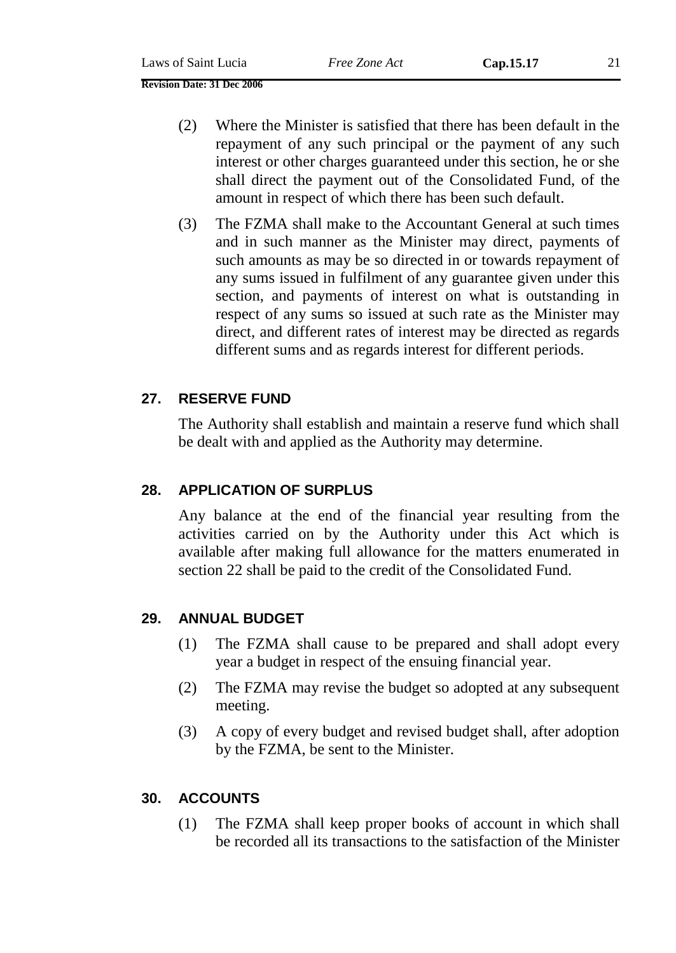- (2) Where the Minister is satisfied that there has been default in the repayment of any such principal or the payment of any such interest or other charges guaranteed under this section, he or she shall direct the payment out of the Consolidated Fund, of the amount in respect of which there has been such default.
- (3) The FZMA shall make to the Accountant General at such times and in such manner as the Minister may direct, payments of such amounts as may be so directed in or towards repayment of any sums issued in fulfilment of any guarantee given under this section, and payments of interest on what is outstanding in respect of any sums so issued at such rate as the Minister may direct, and different rates of interest may be directed as regards different sums and as regards interest for different periods.

### **27. RESERVE FUND**

The Authority shall establish and maintain a reserve fund which shall be dealt with and applied as the Authority may determine.

#### **28. APPLICATION OF SURPLUS**

Any balance at the end of the financial year resulting from the activities carried on by the Authority under this Act which is available after making full allowance for the matters enumerated in section 22 shall be paid to the credit of the Consolidated Fund.

#### **29. ANNUAL BUDGET**

- (1) The FZMA shall cause to be prepared and shall adopt every year a budget in respect of the ensuing financial year.
- (2) The FZMA may revise the budget so adopted at any subsequent meeting.
- (3) A copy of every budget and revised budget shall, after adoption by the FZMA, be sent to the Minister.

#### **30. ACCOUNTS**

(1) The FZMA shall keep proper books of account in which shall be recorded all its transactions to the satisfaction of the Minister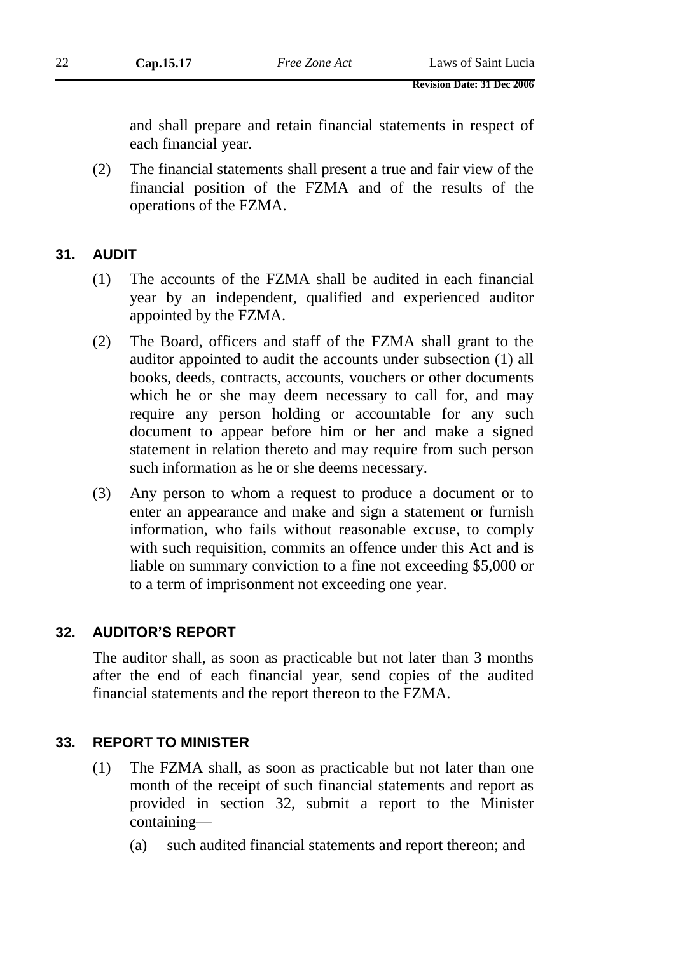and shall prepare and retain financial statements in respect of each financial year.

(2) The financial statements shall present a true and fair view of the financial position of the FZMA and of the results of the operations of the FZMA.

#### **31. AUDIT**

- (1) The accounts of the FZMA shall be audited in each financial year by an independent, qualified and experienced auditor appointed by the FZMA.
- (2) The Board, officers and staff of the FZMA shall grant to the auditor appointed to audit the accounts under subsection (1) all books, deeds, contracts, accounts, vouchers or other documents which he or she may deem necessary to call for, and may require any person holding or accountable for any such document to appear before him or her and make a signed statement in relation thereto and may require from such person such information as he or she deems necessary.
- (3) Any person to whom a request to produce a document or to enter an appearance and make and sign a statement or furnish information, who fails without reasonable excuse, to comply with such requisition, commits an offence under this Act and is liable on summary conviction to a fine not exceeding \$5,000 or to a term of imprisonment not exceeding one year.

### **32. AUDITOR'S REPORT**

The auditor shall, as soon as practicable but not later than 3 months after the end of each financial year, send copies of the audited financial statements and the report thereon to the FZMA.

#### **33. REPORT TO MINISTER**

- (1) The FZMA shall, as soon as practicable but not later than one month of the receipt of such financial statements and report as provided in section 32, submit a report to the Minister containing—
	- (a) such audited financial statements and report thereon; and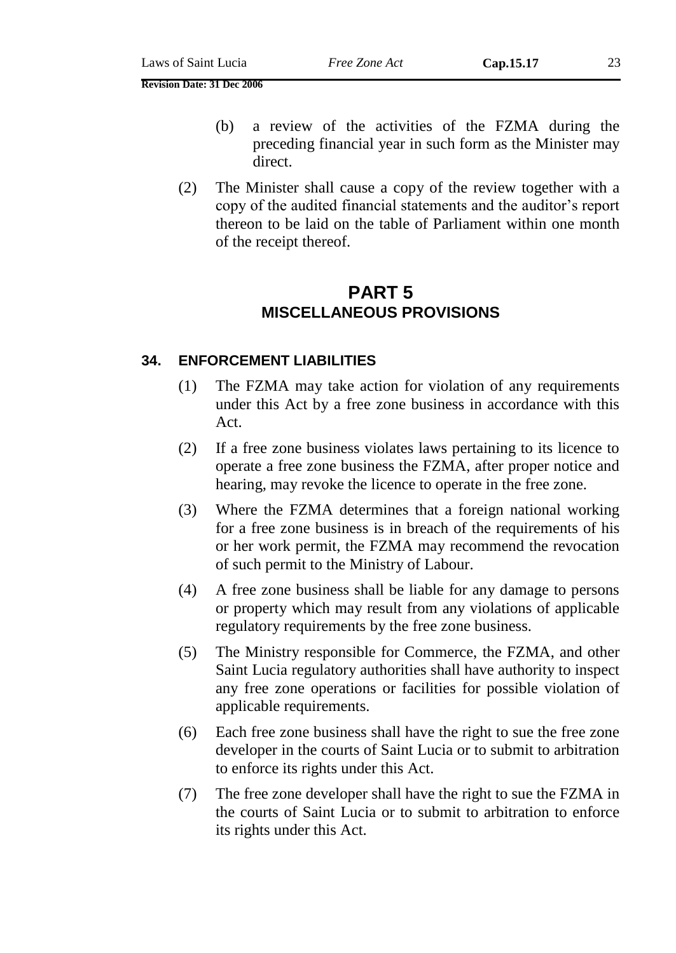- (b) a review of the activities of the FZMA during the preceding financial year in such form as the Minister may direct.
- (2) The Minister shall cause a copy of the review together with a copy of the audited financial statements and the auditor's report thereon to be laid on the table of Parliament within one month of the receipt thereof.

### **PART 5 MISCELLANEOUS PROVISIONS**

#### **34. ENFORCEMENT LIABILITIES**

- (1) The FZMA may take action for violation of any requirements under this Act by a free zone business in accordance with this Act.
- (2) If a free zone business violates laws pertaining to its licence to operate a free zone business the FZMA, after proper notice and hearing, may revoke the licence to operate in the free zone.
- (3) Where the FZMA determines that a foreign national working for a free zone business is in breach of the requirements of his or her work permit, the FZMA may recommend the revocation of such permit to the Ministry of Labour.
- (4) A free zone business shall be liable for any damage to persons or property which may result from any violations of applicable regulatory requirements by the free zone business.
- (5) The Ministry responsible for Commerce, the FZMA, and other Saint Lucia regulatory authorities shall have authority to inspect any free zone operations or facilities for possible violation of applicable requirements.
- (6) Each free zone business shall have the right to sue the free zone developer in the courts of Saint Lucia or to submit to arbitration to enforce its rights under this Act.
- (7) The free zone developer shall have the right to sue the FZMA in the courts of Saint Lucia or to submit to arbitration to enforce its rights under this Act.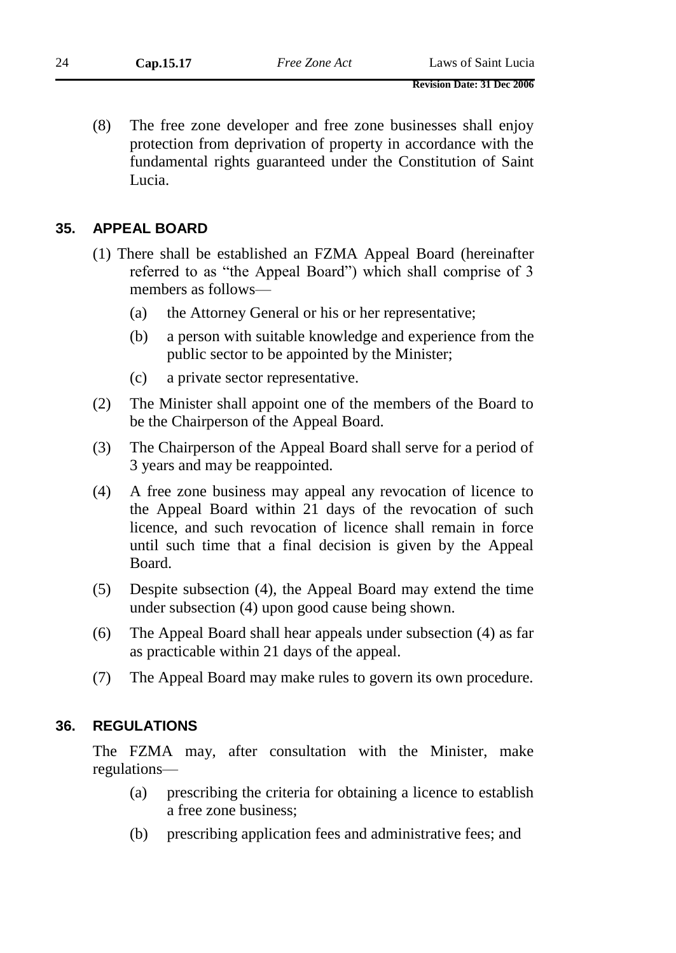(8) The free zone developer and free zone businesses shall enjoy protection from deprivation of property in accordance with the fundamental rights guaranteed under the Constitution of Saint Lucia.

#### **35. APPEAL BOARD**

- (1) There shall be established an FZMA Appeal Board (hereinafter referred to as "the Appeal Board") which shall comprise of 3 members as follows—
	- (a) the Attorney General or his or her representative;
	- (b) a person with suitable knowledge and experience from the public sector to be appointed by the Minister;
	- (c) a private sector representative.
- (2) The Minister shall appoint one of the members of the Board to be the Chairperson of the Appeal Board.
- (3) The Chairperson of the Appeal Board shall serve for a period of 3 years and may be reappointed.
- (4) A free zone business may appeal any revocation of licence to the Appeal Board within 21 days of the revocation of such licence, and such revocation of licence shall remain in force until such time that a final decision is given by the Appeal Board.
- (5) Despite subsection (4), the Appeal Board may extend the time under subsection (4) upon good cause being shown.
- (6) The Appeal Board shall hear appeals under subsection (4) as far as practicable within 21 days of the appeal.
- (7) The Appeal Board may make rules to govern its own procedure.

#### **36. REGULATIONS**

The FZMA may, after consultation with the Minister, make regulations—

- (a) prescribing the criteria for obtaining a licence to establish a free zone business;
- (b) prescribing application fees and administrative fees; and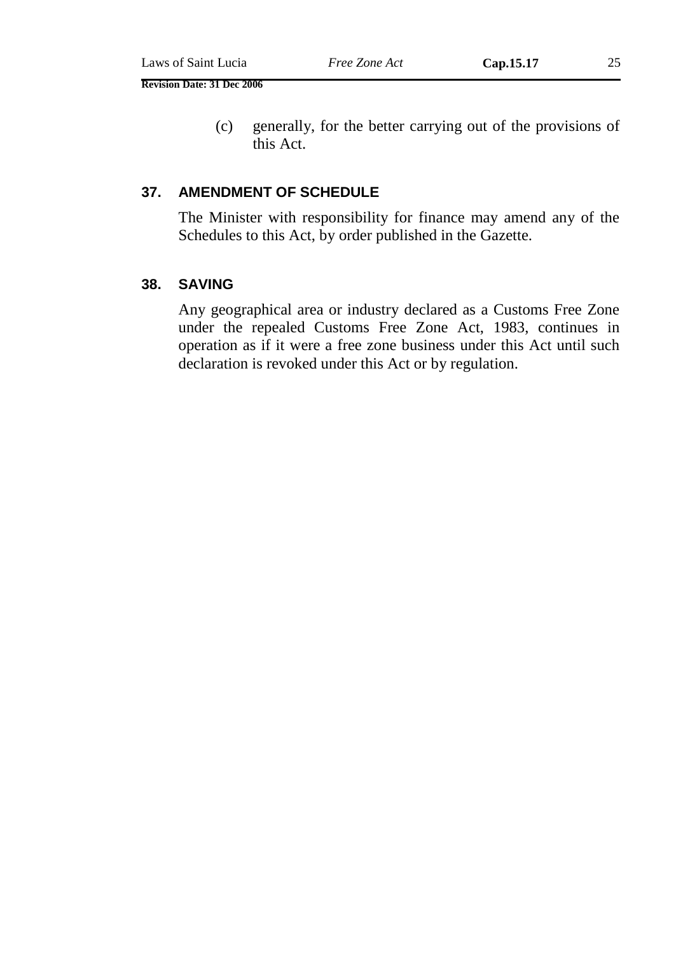(c) generally, for the better carrying out of the provisions of this Act.

#### **37. AMENDMENT OF SCHEDULE**

The Minister with responsibility for finance may amend any of the Schedules to this Act, by order published in the Gazette.

#### **38. SAVING**

Any geographical area or industry declared as a Customs Free Zone under the repealed Customs Free Zone Act, 1983, continues in operation as if it were a free zone business under this Act until such declaration is revoked under this Act or by regulation.